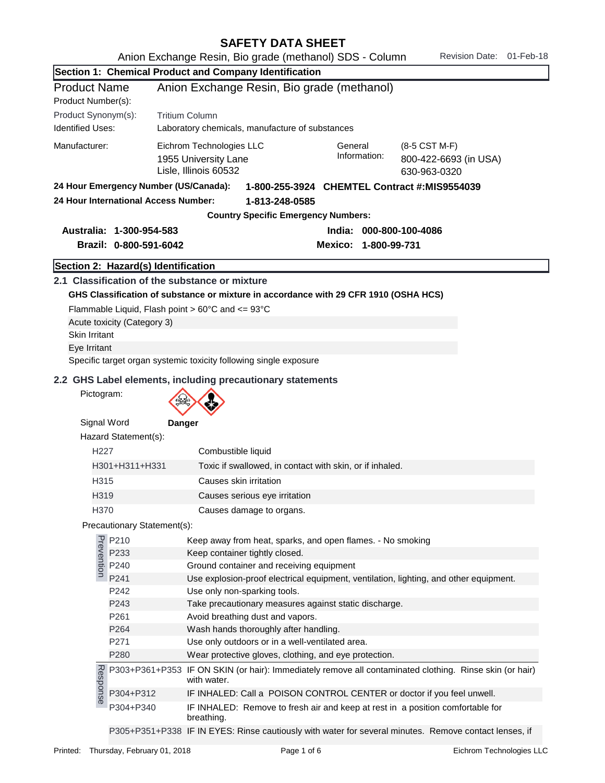| SAFETY DATA SHEET |
|-------------------|
|-------------------|

|                         |                                       | Section 1: Chemical Product and Company Identification                                                                                                         |
|-------------------------|---------------------------------------|----------------------------------------------------------------------------------------------------------------------------------------------------------------|
| <b>Product Name</b>     |                                       | Anion Exchange Resin, Bio grade (methanol)                                                                                                                     |
| Product Number(s):      |                                       |                                                                                                                                                                |
| Product Synonym(s):     |                                       | <b>Tritium Column</b>                                                                                                                                          |
| <b>Identified Uses:</b> |                                       | Laboratory chemicals, manufacture of substances                                                                                                                |
| Manufacturer:           |                                       | Eichrom Technologies LLC<br>General<br>(8-5 CST M-F)<br>Information:<br>1955 University Lane<br>800-422-6693 (in USA)<br>Lisle, Illinois 60532<br>630-963-0320 |
|                         | 24 Hour Emergency Number (US/Canada): | 1-800-255-3924 CHEMTEL Contract #:MIS9554039                                                                                                                   |
|                         | 24 Hour International Access Number:  | 1-813-248-0585                                                                                                                                                 |
|                         |                                       | <b>Country Specific Emergency Numbers:</b>                                                                                                                     |
|                         | Australia: 1-300-954-583              | India: 000-800-100-4086                                                                                                                                        |
|                         | Brazil: 0-800-591-6042                | Mexico: 1-800-99-731                                                                                                                                           |
|                         |                                       |                                                                                                                                                                |
|                         | Section 2: Hazard(s) Identification   |                                                                                                                                                                |
|                         |                                       | 2.1 Classification of the substance or mixture                                                                                                                 |
|                         |                                       | GHS Classification of substance or mixture in accordance with 29 CFR 1910 (OSHA HCS)                                                                           |
|                         |                                       | Flammable Liquid, Flash point $> 60^{\circ}$ C and $<= 93^{\circ}$ C                                                                                           |
| <b>Skin Irritant</b>    | Acute toxicity (Category 3)           |                                                                                                                                                                |
| Eye Irritant            |                                       |                                                                                                                                                                |
|                         |                                       | Specific target organ systemic toxicity following single exposure                                                                                              |
|                         |                                       |                                                                                                                                                                |
| Pictogram:              |                                       | 2.2 GHS Label elements, including precautionary statements                                                                                                     |
|                         |                                       |                                                                                                                                                                |
| Signal Word             |                                       | Danger                                                                                                                                                         |
|                         | Hazard Statement(s):                  |                                                                                                                                                                |
| H <sub>227</sub>        |                                       | Combustible liquid                                                                                                                                             |
|                         | H301+H311+H331                        | Toxic if swallowed, in contact with skin, or if inhaled.                                                                                                       |
| H <sub>315</sub>        |                                       | Causes skin irritation                                                                                                                                         |
| H319                    |                                       | Causes serious eye irritation                                                                                                                                  |
| H370                    |                                       | Causes damage to organs.                                                                                                                                       |
|                         | Precautionary Statement(s):           |                                                                                                                                                                |
|                         | P210<br>P233<br>P240<br>P240<br>P241  | Keep away from heat, sparks, and open flames. - No smoking                                                                                                     |
|                         |                                       | Keep container tightly closed.                                                                                                                                 |
|                         |                                       | Ground container and receiving equipment                                                                                                                       |
|                         | P241                                  | Use explosion-proof electrical equipment, ventilation, lighting, and other equipment.                                                                          |
|                         | P242                                  | Use only non-sparking tools.                                                                                                                                   |
|                         | P243                                  | Take precautionary measures against static discharge.                                                                                                          |
|                         | P261<br>P264                          | Avoid breathing dust and vapors.<br>Wash hands thoroughly after handling.                                                                                      |
|                         | P271                                  | Use only outdoors or in a well-ventilated area.                                                                                                                |
|                         | P280                                  | Wear protective gloves, clothing, and eye protection.                                                                                                          |
| Response                |                                       | P303+P361+P353 IF ON SKIN (or hair): Immediately remove all contaminated clothing. Rinse skin (or hair)<br>with water.                                         |
|                         | P304+P312                             | IF INHALED: Call a POISON CONTROL CENTER or doctor if you feel unwell.                                                                                         |
|                         | P304+P340                             | IF INHALED: Remove to fresh air and keep at rest in a position comfortable for<br>breathing.                                                                   |

P305+P351+P338 IF IN EYES: Rinse cautiously with water for several minutes. Remove contact lenses, if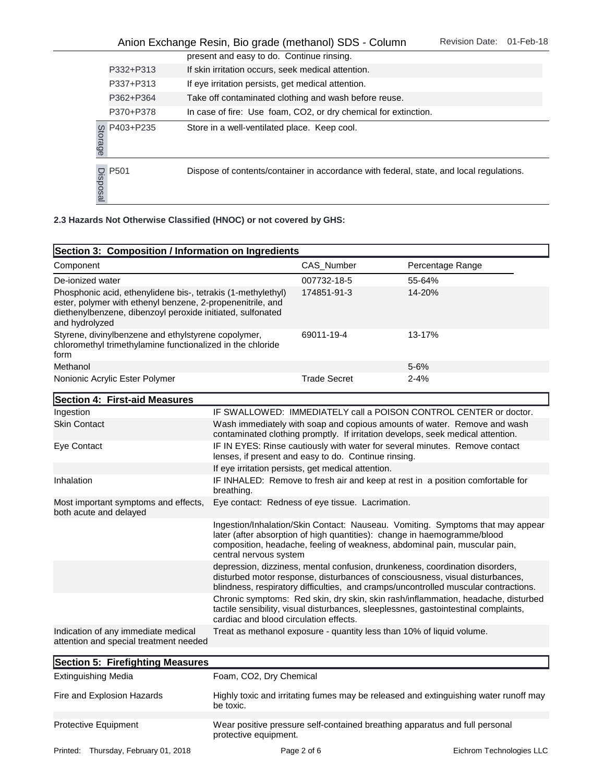|          |                  | Anion Exchange Resin, Bio grade (methanol) SDS - Column                                 | <b>Revision Date:</b> | 01-Feb-18 |
|----------|------------------|-----------------------------------------------------------------------------------------|-----------------------|-----------|
|          |                  | present and easy to do. Continue rinsing.                                               |                       |           |
|          | P332+P313        | If skin irritation occurs, seek medical attention.                                      |                       |           |
|          | P337+P313        | If eye irritation persists, get medical attention.                                      |                       |           |
|          | P362+P364        | Take off contaminated clothing and wash before reuse.                                   |                       |           |
|          | P370+P378        | In case of fire: Use foam, CO2, or dry chemical for extinction.                         |                       |           |
| Storage  | P403+P235        | Store in a well-ventilated place. Keep cool.                                            |                       |           |
| Disposal | P <sub>501</sub> | Dispose of contents/container in accordance with federal, state, and local regulations. |                       |           |

|                                                                                                                                                                                                            | P403+P235<br>Storage                                               | Store in a well-ventilated place. Keep cool.                                            |                     |                  |  |  |  |
|------------------------------------------------------------------------------------------------------------------------------------------------------------------------------------------------------------|--------------------------------------------------------------------|-----------------------------------------------------------------------------------------|---------------------|------------------|--|--|--|
|                                                                                                                                                                                                            | P <sub>501</sub><br>Disposal                                       | Dispose of contents/container in accordance with federal, state, and local regulations. |                     |                  |  |  |  |
|                                                                                                                                                                                                            | 2.3 Hazards Not Otherwise Classified (HNOC) or not covered by GHS: |                                                                                         |                     |                  |  |  |  |
|                                                                                                                                                                                                            |                                                                    | Section 3: Composition / Information on Ingredients                                     |                     |                  |  |  |  |
| Component                                                                                                                                                                                                  |                                                                    |                                                                                         | CAS Number          | Percentage Range |  |  |  |
| De-ionized water                                                                                                                                                                                           |                                                                    |                                                                                         | 007732-18-5         | 55-64%           |  |  |  |
| Phosphonic acid, ethenylidene bis-, tetrakis (1-methylethyl)<br>ester, polymer with ethenyl benzene, 2-propenenitrile, and<br>diethenylbenzene, dibenzoyl peroxide initiated, sulfonated<br>and hydrolyzed |                                                                    | 174851-91-3                                                                             | 14-20%              |                  |  |  |  |
| Styrene, divinylbenzene and ethylstyrene copolymer,<br>chloromethyl trimethylamine functionalized in the chloride<br>form                                                                                  |                                                                    | 69011-19-4                                                                              | 13-17%              |                  |  |  |  |
| Methanol                                                                                                                                                                                                   |                                                                    |                                                                                         |                     | $5 - 6%$         |  |  |  |
|                                                                                                                                                                                                            | Nonionic Acrylic Ester Polymer                                     |                                                                                         | <b>Trade Secret</b> | $2 - 4%$         |  |  |  |

| Section 4: First-aid Measures                                                 |                                                                                                                                                                                                                                                                    |  |
|-------------------------------------------------------------------------------|--------------------------------------------------------------------------------------------------------------------------------------------------------------------------------------------------------------------------------------------------------------------|--|
| Ingestion                                                                     | IF SWALLOWED: IMMEDIATELY call a POISON CONTROL CENTER or doctor.                                                                                                                                                                                                  |  |
| <b>Skin Contact</b>                                                           | Wash immediately with soap and copious amounts of water. Remove and wash<br>contaminated clothing promptly. If irritation develops, seek medical attention.                                                                                                        |  |
| Eye Contact                                                                   | IF IN EYES: Rinse cautiously with water for several minutes. Remove contact<br>lenses, if present and easy to do. Continue rinsing.                                                                                                                                |  |
|                                                                               | If eye irritation persists, get medical attention.                                                                                                                                                                                                                 |  |
| Inhalation                                                                    | IF INHALED: Remove to fresh air and keep at rest in a position comfortable for<br>breathing.                                                                                                                                                                       |  |
| Most important symptoms and effects,<br>both acute and delayed                | Eye contact: Redness of eye tissue. Lacrimation.                                                                                                                                                                                                                   |  |
|                                                                               | Ingestion/Inhalation/Skin Contact: Nauseau. Vomiting. Symptoms that may appear<br>later (after absorption of high quantities): change in haemogramme/blood<br>composition, headache, feeling of weakness, abdominal pain, muscular pain,<br>central nervous system |  |
|                                                                               | depression, dizziness, mental confusion, drunkeness, coordination disorders,<br>disturbed motor response, disturbances of consciousness, visual disturbances,<br>blindness, respiratory difficulties, and cramps/uncontrolled muscular contractions.               |  |
|                                                                               | Chronic symptoms: Red skin, dry skin, skin rash/inflammation, headache, disturbed<br>tactile sensibility, visual disturbances, sleeplessnes, gastointestinal complaints,<br>cardiac and blood circulation effects.                                                 |  |
| Indication of any immediate medical<br>attention and special treatment needed | Treat as methanol exposure - quantity less than 10% of liquid volume.                                                                                                                                                                                              |  |
|                                                                               |                                                                                                                                                                                                                                                                    |  |

| Section 5: Firefighting Measures        |                                                                                                      |                          |
|-----------------------------------------|------------------------------------------------------------------------------------------------------|--------------------------|
| <b>Extinguishing Media</b>              | Foam, CO2, Dry Chemical                                                                              |                          |
| Fire and Explosion Hazards              | Highly toxic and irritating fumes may be released and extinguishing water runoff may<br>be toxic.    |                          |
| <b>Protective Equipment</b>             | Wear positive pressure self-contained breathing apparatus and full personal<br>protective equipment. |                          |
| Thursday, February 01, 2018<br>Printed: | Page 2 of 6                                                                                          | Eichrom Technologies LLC |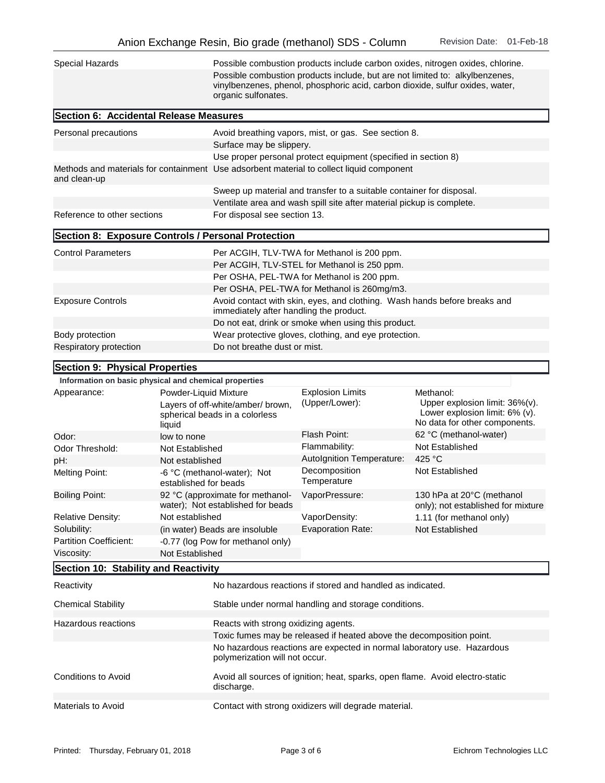| Special Hazards                                       |                                 | Possible combustion products include carbon oxides, nitrogen oxides, chlorine.<br>Possible combustion products include, but are not limited to: alkylbenzenes,<br>vinylbenzenes, phenol, phosphoric acid, carbon dioxide, sulfur oxides, water,<br>organic sulfonates. |                                                                               |                                                                                                                    |  |  |
|-------------------------------------------------------|---------------------------------|------------------------------------------------------------------------------------------------------------------------------------------------------------------------------------------------------------------------------------------------------------------------|-------------------------------------------------------------------------------|--------------------------------------------------------------------------------------------------------------------|--|--|
| Section 6: Accidental Release Measures                |                                 |                                                                                                                                                                                                                                                                        |                                                                               |                                                                                                                    |  |  |
| Personal precautions                                  |                                 | Avoid breathing vapors, mist, or gas. See section 8.<br>Surface may be slippery.                                                                                                                                                                                       |                                                                               |                                                                                                                    |  |  |
| and clean-up                                          |                                 | Use proper personal protect equipment (specified in section 8)<br>Methods and materials for containment Use adsorbent material to collect liquid component                                                                                                             |                                                                               |                                                                                                                    |  |  |
|                                                       |                                 | Sweep up material and transfer to a suitable container for disposal.                                                                                                                                                                                                   |                                                                               |                                                                                                                    |  |  |
|                                                       |                                 |                                                                                                                                                                                                                                                                        | Ventilate area and wash spill site after material pickup is complete.         |                                                                                                                    |  |  |
| Reference to other sections                           |                                 | For disposal see section 13.                                                                                                                                                                                                                                           |                                                                               |                                                                                                                    |  |  |
| Section 8: Exposure Controls / Personal Protection    |                                 |                                                                                                                                                                                                                                                                        |                                                                               |                                                                                                                    |  |  |
| <b>Control Parameters</b>                             |                                 |                                                                                                                                                                                                                                                                        | Per ACGIH, TLV-TWA for Methanol is 200 ppm.                                   |                                                                                                                    |  |  |
|                                                       |                                 |                                                                                                                                                                                                                                                                        | Per ACGIH, TLV-STEL for Methanol is 250 ppm.                                  |                                                                                                                    |  |  |
|                                                       |                                 | Per OSHA, PEL-TWA for Methanol is 200 ppm.                                                                                                                                                                                                                             |                                                                               |                                                                                                                    |  |  |
|                                                       |                                 |                                                                                                                                                                                                                                                                        | Per OSHA, PEL-TWA for Methanol is 260mg/m3.                                   |                                                                                                                    |  |  |
| <b>Exposure Controls</b>                              |                                 | immediately after handling the product.                                                                                                                                                                                                                                | Avoid contact with skin, eyes, and clothing. Wash hands before breaks and     |                                                                                                                    |  |  |
|                                                       |                                 | Do not eat, drink or smoke when using this product.                                                                                                                                                                                                                    |                                                                               |                                                                                                                    |  |  |
| Body protection                                       |                                 |                                                                                                                                                                                                                                                                        | Wear protective gloves, clothing, and eye protection.                         |                                                                                                                    |  |  |
| Respiratory protection                                |                                 | Do not breathe dust or mist.                                                                                                                                                                                                                                           |                                                                               |                                                                                                                    |  |  |
| Section 9: Physical Properties                        |                                 |                                                                                                                                                                                                                                                                        |                                                                               |                                                                                                                    |  |  |
| Information on basic physical and chemical properties |                                 |                                                                                                                                                                                                                                                                        |                                                                               |                                                                                                                    |  |  |
| Appearance:                                           | Powder-Liquid Mixture<br>liquid | Layers of off-white/amber/ brown,<br>spherical beads in a colorless                                                                                                                                                                                                    | <b>Explosion Limits</b><br>(Upper/Lower):                                     | Methanol:<br>Upper explosion limit: $36\%$ (v).<br>Lower explosion limit: 6% (v).<br>No data for other components. |  |  |
| Odor:                                                 | low to none                     |                                                                                                                                                                                                                                                                        | Flash Point:                                                                  | 62 °C (methanol-water)                                                                                             |  |  |
| Odor Threshold:                                       | Not Established                 |                                                                                                                                                                                                                                                                        | Flammability:                                                                 | Not Established                                                                                                    |  |  |
| pH:                                                   | Not established                 |                                                                                                                                                                                                                                                                        | Autolgnition Temperature:                                                     | 425 °C                                                                                                             |  |  |
| <b>Melting Point:</b>                                 | established for beads           | -6 °C (methanol-water); Not                                                                                                                                                                                                                                            | Decomposition<br>Temperature                                                  | Not Established                                                                                                    |  |  |
| <b>Boiling Point:</b>                                 |                                 | 92 °C (approximate for methanol-<br>water); Not established for beads                                                                                                                                                                                                  | VaporPressure:                                                                | 130 hPa at 20°C (methanol<br>only); not established for mixture                                                    |  |  |
| <b>Relative Density:</b>                              | Not established                 |                                                                                                                                                                                                                                                                        | VaporDensity:                                                                 | 1.11 (for methanol only)                                                                                           |  |  |
| Solubility:<br><b>Partition Coefficient:</b>          |                                 | (in water) Beads are insoluble<br>-0.77 (log Pow for methanol only)                                                                                                                                                                                                    | <b>Evaporation Rate:</b>                                                      | Not Established                                                                                                    |  |  |
| Viscosity:                                            | Not Established                 |                                                                                                                                                                                                                                                                        |                                                                               |                                                                                                                    |  |  |
| Section 10: Stability and Reactivity                  |                                 |                                                                                                                                                                                                                                                                        |                                                                               |                                                                                                                    |  |  |
| Reactivity                                            |                                 |                                                                                                                                                                                                                                                                        | No hazardous reactions if stored and handled as indicated.                    |                                                                                                                    |  |  |
|                                                       |                                 |                                                                                                                                                                                                                                                                        |                                                                               |                                                                                                                    |  |  |
| <b>Chemical Stability</b>                             |                                 |                                                                                                                                                                                                                                                                        | Stable under normal handling and storage conditions.                          |                                                                                                                    |  |  |
| Hazardous reactions                                   |                                 | Reacts with strong oxidizing agents.<br>Toxic fumes may be released if heated above the decomposition point.                                                                                                                                                           |                                                                               |                                                                                                                    |  |  |
|                                                       |                                 | polymerization will not occur.                                                                                                                                                                                                                                         | No hazardous reactions are expected in normal laboratory use. Hazardous       |                                                                                                                    |  |  |
| <b>Conditions to Avoid</b>                            |                                 | discharge.                                                                                                                                                                                                                                                             | Avoid all sources of ignition; heat, sparks, open flame. Avoid electro-static |                                                                                                                    |  |  |
| Materials to Avoid                                    |                                 |                                                                                                                                                                                                                                                                        | Contact with strong oxidizers will degrade material.                          |                                                                                                                    |  |  |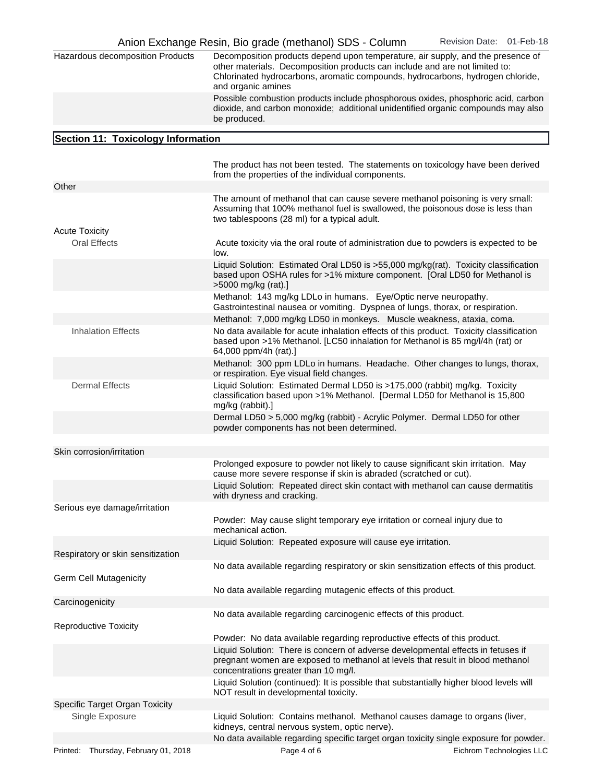| Hazardous decomposition Products             | Decomposition products depend upon temperature, air supply, and the presence of<br>other materials. Decomposition products can include and are not limited to:<br>Chlorinated hydrocarbons, aromatic compounds, hydrocarbons, hydrogen chloride,<br>and organic amines |                          |
|----------------------------------------------|------------------------------------------------------------------------------------------------------------------------------------------------------------------------------------------------------------------------------------------------------------------------|--------------------------|
|                                              | Possible combustion products include phosphorous oxides, phosphoric acid, carbon<br>dioxide, and carbon monoxide; additional unidentified organic compounds may also<br>be produced.                                                                                   |                          |
| Section 11: Toxicology Information           |                                                                                                                                                                                                                                                                        |                          |
|                                              |                                                                                                                                                                                                                                                                        |                          |
|                                              | The product has not been tested. The statements on toxicology have been derived<br>from the properties of the individual components.                                                                                                                                   |                          |
| Other                                        |                                                                                                                                                                                                                                                                        |                          |
|                                              | The amount of methanol that can cause severe methanol poisoning is very small:<br>Assuming that 100% methanol fuel is swallowed, the poisonous dose is less than<br>two tablespoons (28 ml) for a typical adult.                                                       |                          |
| <b>Acute Toxicity</b><br><b>Oral Effects</b> | Acute toxicity via the oral route of administration due to powders is expected to be<br>low.                                                                                                                                                                           |                          |
|                                              | Liquid Solution: Estimated Oral LD50 is >55,000 mg/kg(rat). Toxicity classification<br>based upon OSHA rules for >1% mixture component. [Oral LD50 for Methanol is<br>>5000 mg/kg (rat).]                                                                              |                          |
|                                              | Methanol: 143 mg/kg LDLo in humans. Eye/Optic nerve neuropathy.<br>Gastrointestinal nausea or vomiting. Dyspnea of lungs, thorax, or respiration.                                                                                                                      |                          |
| <b>Inhalation Effects</b>                    | Methanol: 7,000 mg/kg LD50 in monkeys. Muscle weakness, ataxia, coma.<br>No data available for acute inhalation effects of this product. Toxicity classification                                                                                                       |                          |
|                                              | based upon >1% Methanol. [LC50 inhalation for Methanol is 85 mg/l/4h (rat) or<br>64,000 ppm/4h (rat).]                                                                                                                                                                 |                          |
|                                              | Methanol: 300 ppm LDLo in humans. Headache. Other changes to lungs, thorax,<br>or respiration. Eye visual field changes.                                                                                                                                               |                          |
| <b>Dermal Effects</b>                        | Liquid Solution: Estimated Dermal LD50 is >175,000 (rabbit) mg/kg. Toxicity<br>classification based upon >1% Methanol. [Dermal LD50 for Methanol is 15,800<br>mg/kg (rabbit).]                                                                                         |                          |
|                                              | Dermal LD50 > 5,000 mg/kg (rabbit) - Acrylic Polymer. Dermal LD50 for other<br>powder components has not been determined.                                                                                                                                              |                          |
| Skin corrosion/irritation                    |                                                                                                                                                                                                                                                                        |                          |
|                                              | Prolonged exposure to powder not likely to cause significant skin irritation. May<br>cause more severe response if skin is abraded (scratched or cut).                                                                                                                 |                          |
|                                              | Liquid Solution: Repeated direct skin contact with methanol can cause dermatitis<br>with dryness and cracking.                                                                                                                                                         |                          |
| Serious eye damage/irritation                |                                                                                                                                                                                                                                                                        |                          |
|                                              | Powder: May cause slight temporary eye irritation or corneal injury due to<br>mechanical action.                                                                                                                                                                       |                          |
| Respiratory or skin sensitization            | Liquid Solution: Repeated exposure will cause eye irritation.                                                                                                                                                                                                          |                          |
| Germ Cell Mutagenicity                       | No data available regarding respiratory or skin sensitization effects of this product.                                                                                                                                                                                 |                          |
|                                              | No data available regarding mutagenic effects of this product.                                                                                                                                                                                                         |                          |
| Carcinogenicity                              |                                                                                                                                                                                                                                                                        |                          |
| <b>Reproductive Toxicity</b>                 | No data available regarding carcinogenic effects of this product.                                                                                                                                                                                                      |                          |
|                                              | Powder: No data available regarding reproductive effects of this product.                                                                                                                                                                                              |                          |
|                                              | Liquid Solution: There is concern of adverse developmental effects in fetuses if<br>pregnant women are exposed to methanol at levels that result in blood methanol<br>concentrations greater than 10 mg/l.                                                             |                          |
|                                              | Liquid Solution (continued): It is possible that substantially higher blood levels will<br>NOT result in developmental toxicity.                                                                                                                                       |                          |
| Specific Target Organ Toxicity               |                                                                                                                                                                                                                                                                        |                          |
| Single Exposure                              | Liquid Solution: Contains methanol. Methanol causes damage to organs (liver,<br>kidneys, central nervous system, optic nerve).<br>No data available regarding specific target organ toxicity single exposure for powder.                                               |                          |
| Thursday, February 01, 2018<br>Printed:      | Page 4 of 6                                                                                                                                                                                                                                                            | Eichrom Technologies LLC |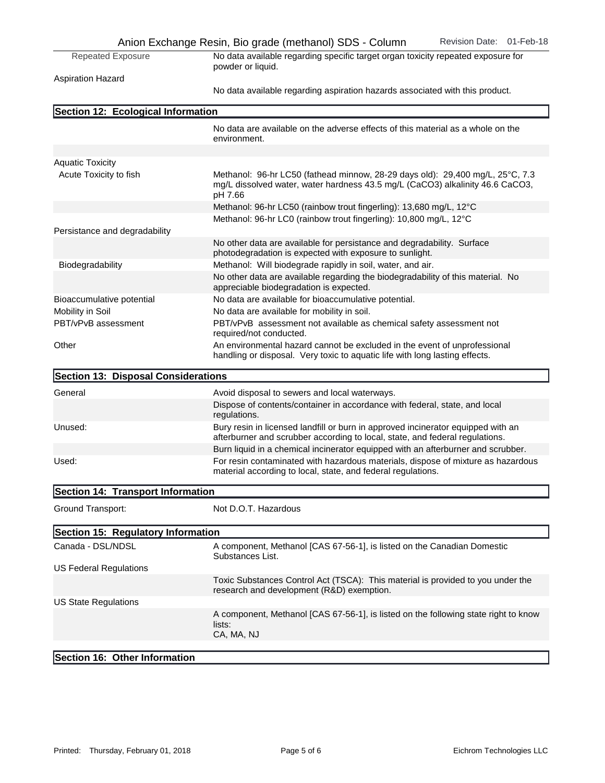|                                     | Anion Exchange Resin, Bio grade (methanol) SDS - Column<br>Revision Date: 01-Feb-18                                                                                       |
|-------------------------------------|---------------------------------------------------------------------------------------------------------------------------------------------------------------------------|
| <b>Repeated Exposure</b>            | No data available regarding specific target organ toxicity repeated exposure for<br>powder or liquid.                                                                     |
| <b>Aspiration Hazard</b>            |                                                                                                                                                                           |
|                                     | No data available regarding aspiration hazards associated with this product.                                                                                              |
| Section 12: Ecological Information  |                                                                                                                                                                           |
|                                     | No data are available on the adverse effects of this material as a whole on the<br>environment.                                                                           |
| <b>Aquatic Toxicity</b>             |                                                                                                                                                                           |
| Acute Toxicity to fish              | Methanol: 96-hr LC50 (fathead minnow, 28-29 days old): 29,400 mg/L, 25°C, 7.3<br>mg/L dissolved water, water hardness 43.5 mg/L (CaCO3) alkalinity 46.6 CaCO3,<br>pH 7.66 |
|                                     | Methanol: 96-hr LC50 (rainbow trout fingerling): 13,680 mg/L, 12°C                                                                                                        |
|                                     | Methanol: 96-hr LC0 (rainbow trout fingerling): 10,800 mg/L, 12°C                                                                                                         |
| Persistance and degradability       |                                                                                                                                                                           |
|                                     | No other data are available for persistance and degradability. Surface<br>photodegradation is expected with exposure to sunlight.                                         |
| Biodegradability                    | Methanol: Will biodegrade rapidly in soil, water, and air.                                                                                                                |
|                                     | No other data are available regarding the biodegradability of this material. No<br>appreciable biodegradation is expected.                                                |
| Bioaccumulative potential           | No data are available for bioaccumulative potential.                                                                                                                      |
| Mobility in Soil                    | No data are available for mobility in soil.                                                                                                                               |
| PBT/vPvB assessment                 | PBT/vPvB assessment not available as chemical safety assessment not<br>required/not conducted.                                                                            |
| Other                               | An environmental hazard cannot be excluded in the event of unprofessional<br>handling or disposal. Very toxic to aquatic life with long lasting effects.                  |
| Section 13: Disposal Considerations |                                                                                                                                                                           |
| General                             | Avoid disposal to sewers and local waterways.                                                                                                                             |
|                                     | Dispose of contents/container in accordance with federal, state, and local<br>regulations.                                                                                |
| Unused:                             | Bury resin in licensed landfill or burn in approved incinerator equipped with an<br>afterburner and scrubber according to local, state, and federal regulations.          |
|                                     | Burn liquid in a chemical incinerator equipped with an afterburner and scrubber.                                                                                          |
| Used:                               | For resin contaminated with hazardous materials, dispose of mixture as hazardous<br>material according to local, state, and federal regulations.                          |
| Section 14: Transport Information   |                                                                                                                                                                           |
| Ground Transport:                   | Not D.O.T. Hazardous                                                                                                                                                      |
| Section 15: Regulatory Information  |                                                                                                                                                                           |
| Canada - DSL/NDSL                   | A component, Methanol [CAS 67-56-1], is listed on the Canadian Domestic<br>Substances List.                                                                               |
| <b>US Federal Regulations</b>       |                                                                                                                                                                           |
|                                     | Toxic Substances Control Act (TSCA): This material is provided to you under the<br>research and development (R&D) exemption.                                              |
| <b>US State Regulations</b>         |                                                                                                                                                                           |
|                                     | A component, Methanol [CAS 67-56-1], is listed on the following state right to know<br>lists:<br>CA, MA, NJ                                                               |
| Section 16: Other Information       |                                                                                                                                                                           |
|                                     |                                                                                                                                                                           |